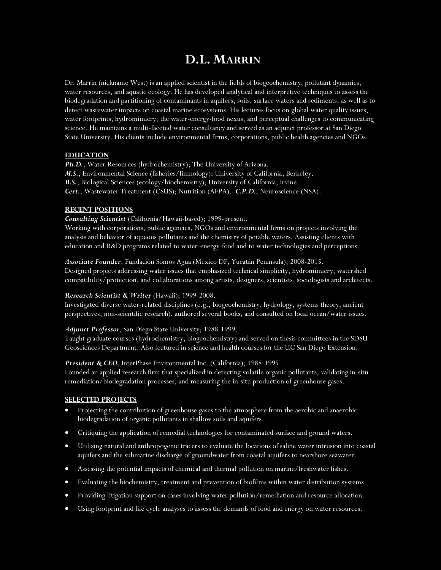# **D.L. MARRIN**

Dr. Marrin (nickname West) is an applied scientist in the fields of biogeochemistry, pollutant dynamics, water resources, and aquatic ecology. He has developed analytical and interpretive techniques to assess the biodegradation and partitioning of contaminants in aquifers, soils, surface waters and sediments, as well as to detect wastewater impacts on coastal marine ecosystems. His lectures focus on global water quality issues, water footprints, hydromimicry, the water-energy-food nexus, and perceptual challenges to communicating science. He maintains a multi-faceted water consultancy and served as an adjunct professor at San Diego State University. His clients include environmental firms, corporations, public health agencies and NGOs.

## **EDUCATION**

Ph.D., Water Resources (hydrochemistry); The University of Arizona. *M.S.*, Environmental Science (fisheries/limnology); University of California, Berkeley. *B.S.*, Biological Sciences (ecology/biochemistry); University of California, Irvine. *Cert.*, Wastewater Treatment (CSUS); Nutrition (AFPA). *C.P.D.*, Neuroscience (NSA).

## **RECENT POSITIONS**

*Consulting Scientist* (California/Hawaii-based); 1999-present.

Working with corporations, public agencies, NGOs and environmental firms on projects involving the analysis and behavior of aqueous pollutants and the chemistry of potable waters. Assisting clients with education and R&D programs related to water-energy-food and to water technologies and perceptions.

*Associate Founder*, Fundación Somos Agua (México DF, Yucatán Península); 2008-2015. Designed projects addressing water issues that emphasized technical simplicity, hydromimicry, watershed compatibility/protection, and collaborations among artists, designers, scientists, sociologists and architects.

## *Research Scientist & Writer* (Hawaii); 1999-2008.

Investigated diverse water-related disciplines (e.g., biogeochemistry, hydrology, systems theory, ancient perspectives, non-scientific research), authored several books, and consulted on local ocean/water issues.

### *Adjunct Professor*, San Diego State University; 1988-1999.

Taught graduate courses (hydrochemistry, biogeochemistry) and served on thesis committees in the SDSU Geosciences Department. Also lectured in science and health courses for the UC San Diego Extension.

## *President & CEO*, InterPhase Environmental Inc. (California); 1988-1995.

Founded an applied research firm that specialized in detecting volatile organic pollutants, validating in-situ remediation/biodegradation processes, and measuring the in-situ production of greenhouse gases.

## **SELECTED PROJECTS**

- Projecting the contribution of greenhouse gases to the atmosphere from the aerobic and anaerobic biodegradation of organic pollutants in shallow soils and aquifers.
- Critiquing the application of remedial technologies for contaminated surface and ground waters.
- Utilizing natural and anthropogenic tracers to evaluate the locations of saline water intrusion into coastal aquifers and the submarine discharge of groundwater from coastal aquifers to nearshore seawater.
- Assessing the potential impacts of chemical and thermal pollution on marine/freshwater fishes.
- Evaluating the biochemistry, treatment and prevention of biofilms within water distribution systems.
- Providing litigation support on cases involving water pollution/remediation and resource allocation.
- Using footprint and life cycle analyses to assess the demands of food and energy on water resources.